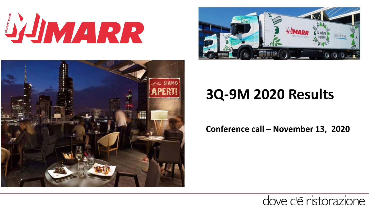**SHMARR** 





# **3Q-9M 2020 Results**

**Conference call – November 13, 2020**

## dove c'è ristorazione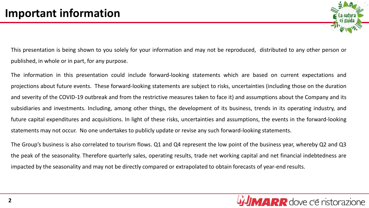This presentation is being shown to you solely for your information and may not be reproduced, distributed to any other person or published, in whole or in part, for any purpose.

The information in this presentation could include forward-looking statements which are based on current expectations and projections about future events. These forward-looking statements are subject to risks, uncertainties (including those on the duration and severity of the COVID-19 outbreak and from the restrictive measures taken to face it) and assumptions about the Company and its subsidiaries and investments. Including, among other things, the development of its business, trends in its operating industry, and future capital expenditures and acquisitions. In light of these risks, uncertainties and assumptions, the events in the forward-looking statements may not occur. No one undertakes to publicly update or revise any such forward-looking statements.

The Group's business is also correlated to tourism flows. Q1 and Q4 represent the low point of the business year, whereby Q2 and Q3 the peak of the seasonality. Therefore quarterly sales, operating results, trade net working capital and net financial indebtedness are impacted by the seasonality and may not be directly compared or extrapolated to obtain forecasts of year-end results.

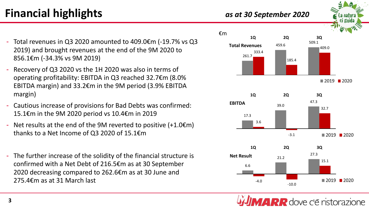thanks to a Net Income of Q3 2020 of 15.1€m - The further increase of the solidity of the financial structure is confirmed with a Net Debt of 216.5€m as at 30 September 2020 decreasing compared to 262.6€m as at 30 June and 275.4€m as at 31 March last

- 2019) and brought revenues at the end of the 9M 2020 to 856.1€m (-34.3% vs 9M 2019) Recovery of Q3 2020 vs the 1H 2020 was also in terms of
	- operating profitability: EBITDA in Q3 reached 32.7€m (8.0% EBITDA margin) and 33.2€m in the 9M period (3.9% EBITDA margin)

- Total revenues in Q3 2020 amounted to 409.0€m (-19.7% vs Q3

- Cautious increase of provisions for Bad Debts was confirmed: 15.1€m in the 9M 2020 period vs 10.4€m in 2019
- Net results at the end of the 9M reverted to positive  $(+1.0)$  $(-1.0)$



**MARR** dove c'è ristorazione

**Financial highlights** *as at 30 September <sup>2020</sup>*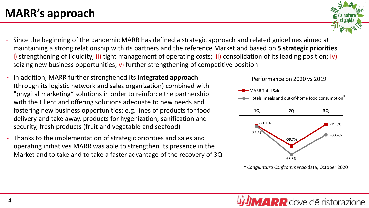- Since the beginning of the pandemic MARR has defined a strategic approach and related guidelines aimed at maintaining a strong relationship with its partners and the reference Market and based on **5 strategic priorities**: i) strengthening of liquidity; ii) tight management of operating costs; iii) consolidation of its leading position; iv) seizing new business opportunities;  $v$ ) further strengthening of competitive position
- In addition, MARR further strenghened its **integrated approach**  (through its logistic network and sales organization) combined with "phygital marketing" solutions in order to reinforce the partnership with the Client and offering solutions adequate to new needs and fostering new business opportunities: e.g. lines of products for food delivery and take away, products for hygenization, sanification and security, fresh products (fruit and vegetable and seafood)
- Thanks to the implementation of strategic priorities and sales and operating initiatives MARR was able to strengthen its presence in the Market and to take and to take a faster advantage of the recovery of 3Q



\* *Congiuntura Confcommercio* data, October 2020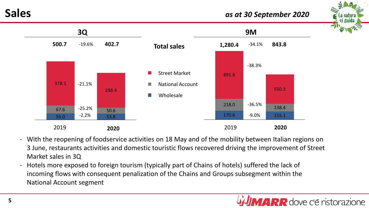### **Sales** *as at 30 September <sup>2020</sup>*





- With the reopening of foodservice activities on 18 May and of the mobility between Italian regions on 3 June, restaurants activities and domestic touristic flows recovered driving the improvement of Street Market sales in 3Q
- Hotels more exposed to foreign tourism (typically part of Chains of hotels) suffered the lack of incoming flows with consequent penalization of the Chains and Groups subsegment within the National Account segment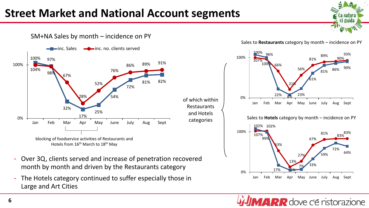## **Street Market and National Account segments**

and Hotels categories



SM+NA Sales by month – incidence on PY



La natur ci guida







**MARR** dove c'è ristorazione

- Over 3Q, clients served and increase of penetration recovered month by month and driven by the Restaurants category
- The Hotels category continued to suffer especially those in Large and Art Cities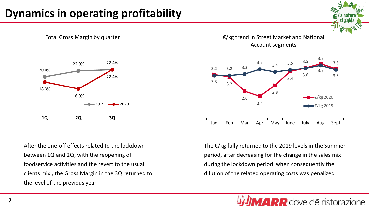## **Dynamics in operating profitability**



- After the one-off effects related to the lockdown between 1Q and 2Q, with the reopening of foodservice activities and the revert to the usual clients mix , the Gross Margin in the 3Q returned to the level of the previous year

€/kg trend in Street Market and National Account segments

la natul ci guid



The  $\epsilon$ /kg fully returned to the 2019 levels in the Summer period, after decreasing for the change in the sales mix during the lockdown period when consequently the dilution of the related operating costs was penalized

**ARR** dove c'è ristorazione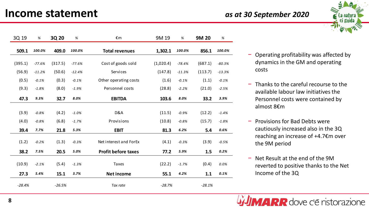

| 3Q 19    | $\%$     | 3Q 20    | $\%$     | €m                         | 9M 19     | $\%$     | 9M 20    | $\%$     |
|----------|----------|----------|----------|----------------------------|-----------|----------|----------|----------|
| 509.1    | 100.0%   | 409.0    | 100.0%   | <b>Total revenues</b>      | 1,302.1   | 100.0%   | 856.1    | 100.0%   |
|          |          |          |          |                            |           |          |          |          |
| (395.1)  | $-77.6%$ | (317.5)  | $-77.6%$ | Cost of goods sold         | (1,020.4) | $-78.4%$ | (687.1)  | $-80.3%$ |
| (56.9)   | $-11.2%$ | (50.6)   | $-12.4%$ | Services                   | (147.8)   | $-11.3%$ | (113.7)  | $-13.3%$ |
| (0.5)    | $-0.1%$  | (0.3)    | $-0.1%$  | Other operating costs      | (1.6)     | $-0.1%$  | (1.1)    | $-0.1%$  |
| (9.3)    | $-1.8%$  | (8.0)    | $-1.9%$  | Personnel costs            | (28.8)    | $-2.2%$  | (21.0)   | $-2.5%$  |
| 47.3     | 9.3%     | 32.7     | 8.0%     | <b>EBITDA</b>              | 103.6     | 8.0%     | 33.2     | 3.9%     |
|          |          |          |          |                            |           |          |          |          |
| (3.9)    | $-0.8%$  | (4.2)    | $-1.0%$  | D&A                        | (11.5)    | $-0.9%$  | (12.2)   | $-1.4%$  |
| (4.0)    | $-0.8%$  | (6.8)    | $-1.7%$  | Provisions                 | (10.8)    | $-0.8%$  | (15.7)   | $-1.8%$  |
| 39.4     | 7.7%     | 21.8     | 5.3%     | <b>EBIT</b>                | 81.3      | 6.2%     | 5.4      | 0.6%     |
| (1.2)    | $-0.2%$  | (1.3)    | $-0.3%$  | Net interest and ForEx     | (4.1)     | $-0.3%$  | (3.9)    | $-0.5%$  |
| 38.2     | 7.5%     | 20.5     | 5.0%     | <b>Profit before taxes</b> | 77.2      | 5.9%     | 1.5      | 0.2%     |
| (10.9)   | $-2.1%$  | (5.4)    | $-1.3%$  | <b>Taxes</b>               | (22.2)    | $-1.7%$  | (0.4)    | 0.0%     |
|          |          |          |          |                            |           |          |          |          |
| 27.3     | 5.4%     | 15.1     | 3.7%     | Net income                 | 55.1      | 4.2%     | 1.1      | 0.1%     |
| $-28.4%$ |          | $-26.5%$ |          | Tax rate                   | $-28.7%$  |          | $-28.1%$ |          |

- − Operating profitability was affected by dynamics in the GM and operating costs
- − Thanks to the careful recourse to the available labour law initiatives the Personnel costs were contained by almost 8€m
- − Provisions for Bad Debts were cautiously increased also in the 3Q reaching an increase of +4.7€m over the 9M period
- − Net Result at the end of the 9M reverted to positive thanks to the Net Income of the 3Q

**MARR** dove c'è ristorazione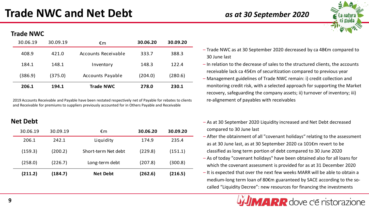### **Trade NWC**

| 30.06.19 | 30.09.19 | €m                      | 30.06.20 | 30.09.20 |
|----------|----------|-------------------------|----------|----------|
| 408.9    | 421.0    | Accounts Receivable     | 333.7    | 388.3    |
| 184.1    | 148.1    | Inventory               | 148.3    | 122.4    |
| (386.9)  | (375.0)  | <b>Accounts Payable</b> | (204.0)  | (280.6)  |
| 206.1    | 194.1    | <b>Trade NWC</b>        | 278.0    | 230.1    |

2019 Accounts Receivable and Payable have been restated respectively net of Payable for rebates to clients and Receivable for premiums to suppliers previously accounted for in Others Payable and Receivable

| 30.06.19 | 30.09.19 | €m                  | 30.06.20 | 30.09.20 |
|----------|----------|---------------------|----------|----------|
| 206.1    | 242.1    | Liquidity           | 174.9    | 235.4    |
| (159.3)  | (200.2)  | Short-term Net debt | (229.8)  | (151.1)  |
| (258.0)  | (226.7)  | Long-term debt      | (207.8)  | (300.8)  |
| (211.2)  | (184.7)  | <b>Net Debt</b>     | (262.6)  | (216.5)  |



- Trade NWC as at 30 September 2020 decreased by ca 48€m compared to 30 June last
- In relation to the decrease of sales to the structured clients, the accounts receivable lack ca 45€m of securitization compared to previous year
- Management guidelines of Trade NWC remain: i) credit collection and monitoring credit risk, with a selected approach for supporting the Market recovery, safeguarding the company assets; ii) turnover of inventory; iii) re-alignement of payables with receivables
- **Net Debt Figure 2020** Liquidity increased and Net Debt decreased compared to 30 June last
	- After the obtainment of all "covenant holidays" relating to the assessment as at 30 June last, as at 30 September 2020 ca 101€m revert to be classified as long term portion of debt compared to 30 June 2020
	- As of today "covenant holidays" have been obtained also for all loans for which the covenant assessment is provided for as at 31 December 2020
	- It is expected that over the next few weeks MARR will be able to obtain a medium-long term loan of 80€m guaranteed by SACE according to the socalled "Liquidity Decree": new resources for financing the investments

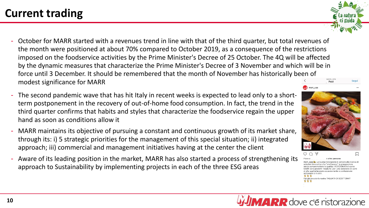- October for MARR started with a revenues trend in line with that of the third quarter, but total revenues of the month were positioned at about 70% compared to October 2019, as a consequence of the restrictions imposed on the foodservice activities by the Prime Minister's Decree of 25 October. The 4Q will be affected by the dynamic measures that characterize the Prime Minister's Decree of 3 November and which will be in force until 3 December. It should be remembered that the month of November has historically been of modest significance for MARR Post
- The second pandemic wave that has hit Italy in recent weeks is expected to lead only to a shortterm postponement in the recovery of out-of-home food consumption. In fact, the trend in the third quarter confirms that habits and styles that characterize the foodservice regain the upper hand as soon as conditions allow it
- MARR maintains its objective of pursuing a constant and continuous growth of its market share, through its: i) 5 strategic priorities for the management of this special situation; ii) integrated approach; iii) commercial and management initiatives having at the center the client
- Aware of its leading position in the market, MARR has also started a process of strengthening its approach to Sustainability by implementing projects in each of the three ESG areas



e altre persone arr spa le La buona ristorazione è sempre alla ricerca d luzioni innovative che "snelliscono" la preparazione nza compromettere la qualità. I PORZIONATI di carne MARR sono prodotti "ready to use" una selezione di carn di alta qualità lavorate accuratamente e confeziona: sottovuoto o in skin Hai già provato la nostra TAGLIATA DI SCOTTONA?

**MARR** dove c'è ristorazione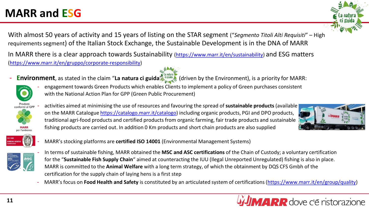## **MARR and ESG**

With almost 50 years of activity and 15 years of listing on the STAR segment ("*Segmento Titoli Alti Requisiti*" – High requirements segment) of the Italian Stock Exchange, the Sustainable Development is in the DNA of MARR

In MARR there is a clear approach towards Sustainability [\(https://www.marr.it/en/sustainability](https://www.marr.it/en/sustainability)) and ESG matters [\(https://www.marr.it/en/gruppo/corporate-responsibility\)](https://www.marr.it/en/gruppo/corporate-responsibility)

- **Environment**, as stated in the claim "**La natura ci guida**" (driven by the Environment), is a priority for MARR:



- activities aimed at minimising the use of resources and favouring the spread of **sustainable products** (available on the MARR Catalogue [https://catalogo.marr.it/catalogo\)](https://catalogo.marr.it/catalogo) including organic products, PGI and DPO products, traditional agri-food products and certified products from organic farming, fair trade products and sustainable fishing products are carried out. In addition 0 Km products and short chain products are also supplied

- engagement towards Green Products which enables Clients to implement a policy of Green purchases consistent





- MARR's stocking platforms are **certified ISO 14001** (Environmental Management Systems)

with the National Action Plan for GPP (Green Public Procurement)



- In terms of sustainable fishing, MARR obtained the **MSC and ASC certifications** of the Chain of Custody; a voluntary certification for the "**Sustainable Fish Supply Chain**" aimed at counteracting the IUU (Ilegal Unreported Unregulated) fishing is also in place. MARR is committed to the **Animal Welfare** with a long term strategy, of which the obtainment by DQS CFS Gmbh of the certification for the supply chain of laying hens is a first step
- MARR's focus on **Food Health and Safety** is constituted by an articulated system of certifications([https://www.marr.it/en/group/quality\)](https://www.marr.it/en/group/quality)



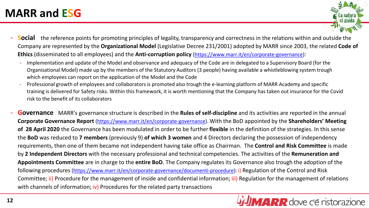### **MARR and ESG**

- 
- **Social** the reference points for promoting principles of legality, transparency and correctness in the relations within and outside the Company are represented by the **Organizational Model** (Legislative Decree 231/2001) adopted by MARR since 2003, the related **Code of Ethics** (disseminated to all employees) and the **Anti-corruption policy** ([https://www.marr.it/en/corporate-governance\)](https://www.marr.it/en/corporate-governance):
	- Implementation and update of the Model and observance and adequacy of the Code are in delegated to a Supervisory Board (for the Organisational Model) made up by the members of the Statutory Auditors (3 people) having available a whistleblowing system trough which employees can report on the application of the Model and the Code
	- Professional growth of employees and collaboratorsis promoted also trough the e-learning platform of MARR Academy and specific training is delivered for Safety risks. Within this framework, it is worth mentioning that the Company has taken out insurance for the Covid risk to the benefit of its collaborators
- **Governance** MARR's governance structure is described in the **Rules of self-discipline** and its activities are reported in the annual **Corporate Governance Report** ([https://www.marr.it/en/corporate-governance\)](https://www.marr.it/en/corporate-governance). With the BoD appointed by the **Shareholders' Meeting of 28 April 2020** the Governance has been modulated in order to be further **flexible** in the definition of the strategies. In this sense the **BoD** was reduced to **7 members** (previously 9) **of which 3 women** and 4 Directors declaring the possession of independency requirements, then one of them became not independent having take office as Chairman. The **Control and Risk Committee** is made by **2 Independent Directors** with the necessary professional and technical competencies. The activities of the **Remuneration and Appointments Committee** are in charge to the **entire BoD**. The Company regulates its Governance also trough the adoption of the following procedures [\(https://www.marr.it/en/corporate-governance/documenti-procedure](https://www.marr.it/en/corporate-governance/documenti-procedure)): i) Regulation of the Control and Risk Committee; ii) Procedure for the management of inside and confidential information; iii) Regulation for the management of relations with channels of information;  $iv$ ) Procedures for the related party transactions

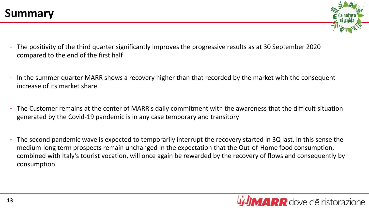- The positivity of the third quarter significantly improves the progressive results as at 30 September 2020 compared to the end of the first half
- In the summer quarter MARR shows a recovery higher than that recorded by the market with the consequent increase of its market share
- The Customer remains at the center of MARR's daily commitment with the awareness that the difficult situation generated by the Covid-19 pandemic is in any case temporary and transitory
- The second pandemic wave is expected to temporarily interrupt the recovery started in 3Q last. In this sense the medium-long term prospects remain unchanged in the expectation that the Out-of-Home food consumption, combined with Italy's tourist vocation, will once again be rewarded by the recovery of flows and consequently by consumption